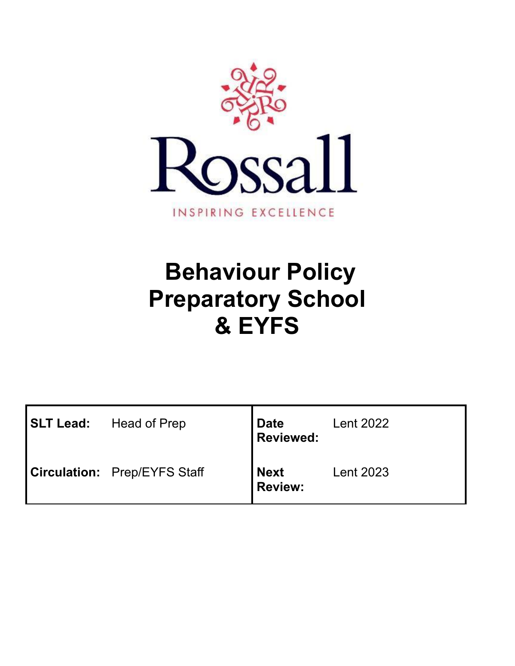

# **Behaviour Policy Preparatory School & EYFS**

| SLT Lead: | Head of Prep                        | <b>Date</b><br><b>Reviewed:</b> | <b>Lent 2022</b> |
|-----------|-------------------------------------|---------------------------------|------------------|
|           | <b>Circulation:</b> Prep/EYFS Staff | <b>Next</b><br><b>Review:</b>   | <b>Lent 2023</b> |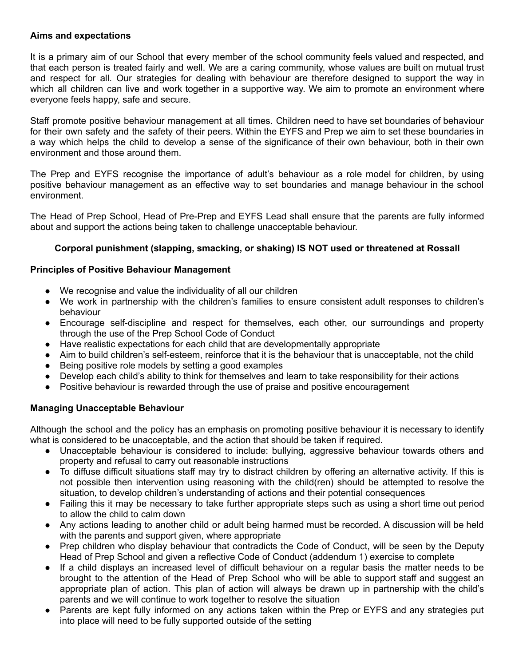#### **Aims and expectations**

It is a primary aim of our School that every member of the school community feels valued and respected, and that each person is treated fairly and well. We are a caring community, whose values are built on mutual trust and respect for all. Our strategies for dealing with behaviour are therefore designed to support the way in which all children can live and work together in a supportive way. We aim to promote an environment where everyone feels happy, safe and secure.

Staff promote positive behaviour management at all times. Children need to have set boundaries of behaviour for their own safety and the safety of their peers. Within the EYFS and Prep we aim to set these boundaries in a way which helps the child to develop a sense of the significance of their own behaviour, both in their own environment and those around them.

The Prep and EYFS recognise the importance of adult's behaviour as a role model for children, by using positive behaviour management as an effective way to set boundaries and manage behaviour in the school environment.

The Head of Prep School, Head of Pre-Prep and EYFS Lead shall ensure that the parents are fully informed about and support the actions being taken to challenge unacceptable behaviour.

# **Corporal punishment (slapping, smacking, or shaking) IS NOT used or threatened at Rossall**

# **Principles of Positive Behaviour Management**

- We recognise and value the individuality of all our children
- We work in partnership with the children's families to ensure consistent adult responses to children's behaviour
- Encourage self-discipline and respect for themselves, each other, our surroundings and property through the use of the Prep School Code of Conduct
- Have realistic expectations for each child that are developmentally appropriate
- Aim to build children's self-esteem, reinforce that it is the behaviour that is unacceptable, not the child
- Being positive role models by setting a good examples
- Develop each child's ability to think for themselves and learn to take responsibility for their actions
- Positive behaviour is rewarded through the use of praise and positive encouragement

# **Managing Unacceptable Behaviour**

Although the school and the policy has an emphasis on promoting positive behaviour it is necessary to identify what is considered to be unacceptable, and the action that should be taken if required.

- Unacceptable behaviour is considered to include: bullying, aggressive behaviour towards others and property and refusal to carry out reasonable instructions
- To diffuse difficult situations staff may try to distract children by offering an alternative activity. If this is not possible then intervention using reasoning with the child(ren) should be attempted to resolve the situation, to develop children's understanding of actions and their potential consequences
- Failing this it may be necessary to take further appropriate steps such as using a short time out period to allow the child to calm down
- Any actions leading to another child or adult being harmed must be recorded. A discussion will be held with the parents and support given, where appropriate
- Prep children who display behaviour that contradicts the Code of Conduct, will be seen by the Deputy Head of Prep School and given a reflective Code of Conduct (addendum 1) exercise to complete
- If a child displays an increased level of difficult behaviour on a regular basis the matter needs to be brought to the attention of the Head of Prep School who will be able to support staff and suggest an appropriate plan of action. This plan of action will always be drawn up in partnership with the child's parents and we will continue to work together to resolve the situation
- Parents are kept fully informed on any actions taken within the Prep or EYFS and any strategies put into place will need to be fully supported outside of the setting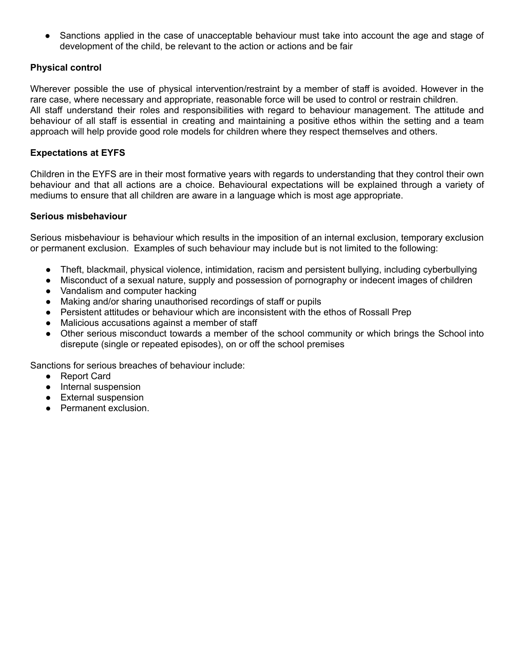Sanctions applied in the case of unacceptable behaviour must take into account the age and stage of development of the child, be relevant to the action or actions and be fair

# **Physical control**

Wherever possible the use of physical intervention/restraint by a member of staff is avoided. However in the rare case, where necessary and appropriate, reasonable force will be used to control or restrain children. All staff understand their roles and responsibilities with regard to behaviour management. The attitude and behaviour of all staff is essential in creating and maintaining a positive ethos within the setting and a team approach will help provide good role models for children where they respect themselves and others.

# **Expectations at EYFS**

Children in the EYFS are in their most formative years with regards to understanding that they control their own behaviour and that all actions are a choice. Behavioural expectations will be explained through a variety of mediums to ensure that all children are aware in a language which is most age appropriate.

#### **Serious misbehaviour**

Serious misbehaviour is behaviour which results in the imposition of an internal exclusion, temporary exclusion or permanent exclusion. Examples of such behaviour may include but is not limited to the following:

- Theft, blackmail, physical violence, intimidation, racism and persistent bullying, including cyberbullying
- Misconduct of a sexual nature, supply and possession of pornography or indecent images of children
- Vandalism and computer hacking
- Making and/or sharing unauthorised recordings of staff or pupils
- Persistent attitudes or behaviour which are inconsistent with the ethos of Rossall Prep
- Malicious accusations against a member of staff
- Other serious misconduct towards a member of the school community or which brings the School into disrepute (single or repeated episodes), on or off the school premises

Sanctions for serious breaches of behaviour include:

- Report Card
- Internal suspension
- External suspension
- Permanent exclusion.